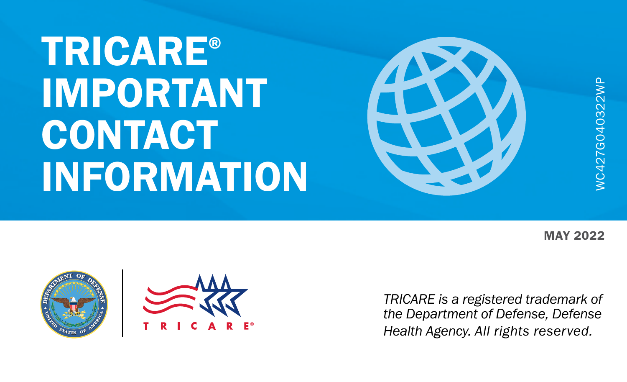# TRICARE® IMPORTANT **CONTACT** INFORMATION



**MAY 2022** 

WC427G040322WP





*TRICARE is a registered trademark of the Department of Defense, Defense Health Agency. All rights reserved.*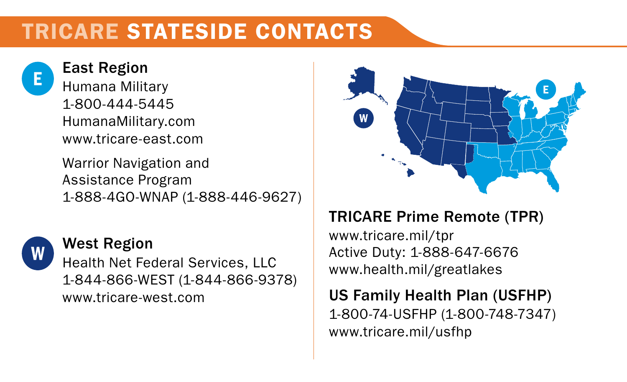### TRICARE STATESIDE CONTACTS



East Region Humana Military 1-800-444-5445 [HumanaMilitary.com](https://HumanaMilitary.com) [www.tricare-east.com](https://www.tricare-east.com)

Warrior Navigation and Assistance Program 1-888-4GO-WNAP (1-888-446-9627)



#### West Region

Health Net Federal Services, LLC 1-844-866-WEST (1-844-866-9378) [www.tricare-west.com](https://www.tricare-west.com)



#### TRICARE Prime Remote (TPR)

[www.tricare.mil/tpr](http://www.tricare.mil/tpr) Active Duty: 1-888-647-6676 [www.health.mil/greatlakes](https://www.health.mil/greatlakes)

US Family Health Plan (USFHP) 1-800-74-USFHP (1-800-748-7347) [www.tricare.mil/usfhp](https://www.tricare.mil/usfhp)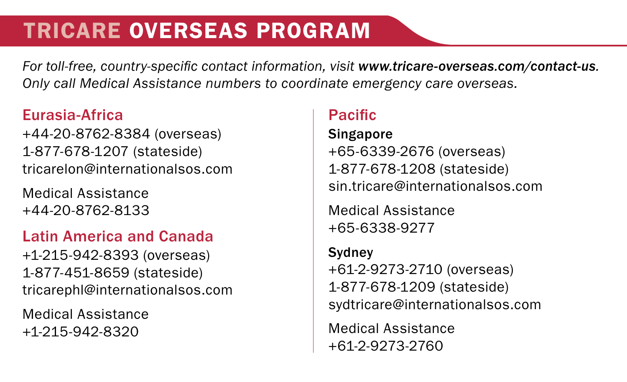### TRICARE OVERSEAS PROGRAM

*For toll-free, country-specific contact information, visit [www.tricare-overseas.com/](https://www.tricare-overseas.com/contact-us)contact-us. Only call Medical Assistance numbers to coordinate emergency care overseas.*

#### Eurasia-Africa

+44-20-8762-8384 (overseas) 1-877-678-1207 (stateside) [tricarelon@internationalsos.com](mailto:tricarelon%40internationalsos.com?subject=)

Medical Assistance +44-20-8762-8133

#### Latin America and Canada

+1-215-942-8393 (overseas) 1-877-451-8659 (stateside) [tricarephl@internationalsos.com](mailto:tricarephl%40internationalsos.com?subject=)

Medical Assistance +1-215-942-8320

#### Pacific

**Singapore** +65-6339-2676 (overseas) 1-877-678-1208 (stateside) [sin.tricare@internationalsos.com](mailto:sin.tricare%40internationalsos.com?subject=)

Medical Assistance +65-6338-9277

#### **Sydney** +61-2-9273-2710 (overseas) 1-877-678-1209 (stateside) [sydtricare@internationalsos.com](mailto:sydtricare%40internationalsos.com?subject=)

Medical Assistance +61-2-9273-2760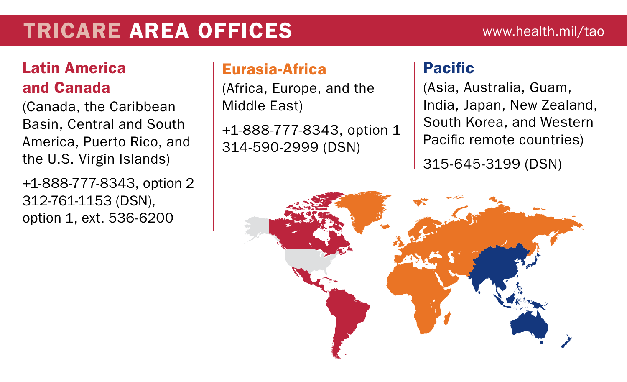### TRICARE AREA OFFICES www.health.mil/tao

#### Latin America and Canada

(Canada, the Caribbean Basin, Central and South America, Puerto Rico, and the U.S. Virgin Islands)

+1-888-777-8343, option 2 312-761-1153 (DSN), option 1, ext. 536-6200

#### Eurasia-Africa

(Africa, Europe, and the Middle East)

+1-888-777-8343, option 1 314-590-2999 (DSN)

#### Pacific

(Asia, Australia, Guam, India, Japan, New Zealand, South Korea, and Western Pacific remote countries)

315-645-3199 (DSN)

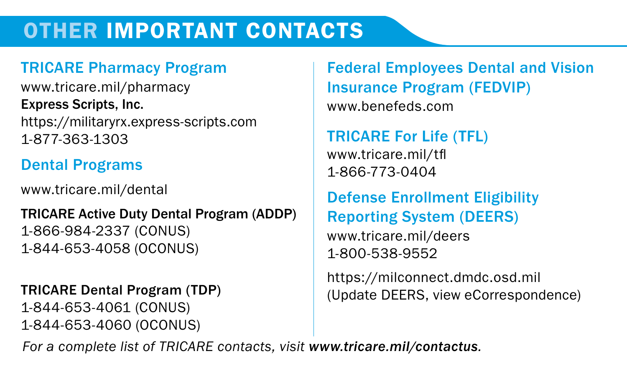### OTHER IMPORTANT CONTACTS

#### TRICARE Pharmacy Program

[www.tricare.mil/pharmacy](https://www.tricare.mil/pharmacy) Express Scripts, Inc. https://militaryrx.express-scripts.com 1-877-363-1303

#### Dental Programs

[www.tricare.mil/dental](https://www.tricare.mil/dental)

### TRICARE Active Duty Dental Program (ADDP) 1-866-984-2337 (CONUS)

1-844-653-4058 (OCONUS)

#### TRICARE Dental Program (TDP)

1-844-653-4061 (CONUS) 1-844-653-4060 (OCONUS)

#### Federal Employees Dental and Vision Insurance Program (FEDVIP) www.benefeds.com

#### TRICARE For Life (TFL) [www.tricare.mil/tfl](https://www.tricare.mil/tfl) 1-866-773-0404

#### Defense Enrollment Eligibility Reporting System (DEERS) [www.tricare.mil/deers](https://www.tricare.mil/deers)

1-800-538-9552

https:/[/milconnect.](https://www.dmdc.osd.mil/milconnect)dmdc.osd.mil (Update DEERS, view eCorrespondence)

*For a complete list of TRICARE contacts, visit [www.tricare.mil/contactus](https://www.tricare.mil/contactus).*